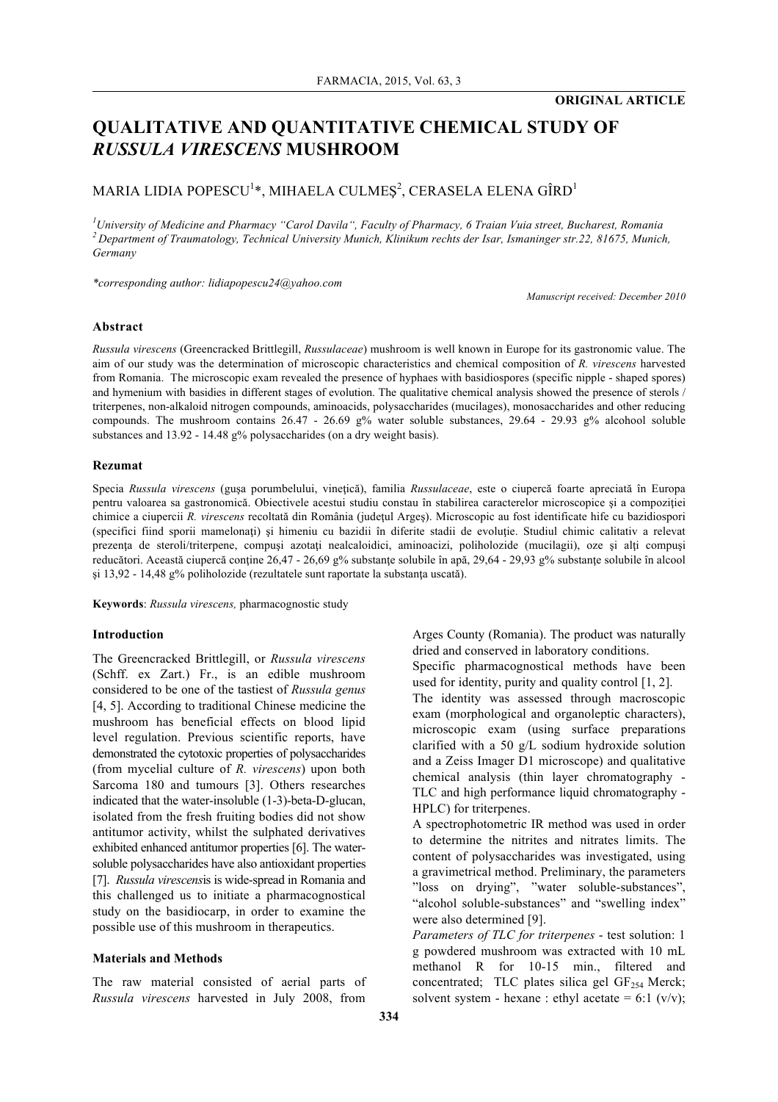# **QUALITATIVE AND QUANTITATIVE CHEMICAL STUDY OF**  *RUSSULA VIRESCENS* **MUSHROOM**

## MARIA LIDIA POPESCU $^{\rm l}$ \*, MIHAELA CULMEŞ $^{\rm 2}$ , CERASELA ELENA GÎRD $^{\rm l}$

*1 University of Medicine and Pharmacy "Carol Davila", Faculty of Pharmacy, 6 Traian Vuia street, Bucharest, Romania 2 Department of Traumatology, Technical University Munich, Klinikum rechts der Isar, Ismaninger str.22, 81675, Munich, Germany*

*\*corresponding author: lidiapopescu24@yahoo.com*

*Manuscript received: December 2010*

#### **Abstract**

*Russula virescens* (Greencracked Brittlegill, *Russulaceae*) mushroom is well known in Europe for its gastronomic value. The aim of our study was the determination of microscopic characteristics and chemical composition of *R. virescens* harvested from Romania. The microscopic exam revealed the presence of hyphaes with basidiospores (specific nipple - shaped spores) and hymenium with basidies in different stages of evolution. The qualitative chemical analysis showed the presence of sterols / triterpenes, non-alkaloid nitrogen compounds, aminoacids, polysaccharides (mucilages), monosaccharides and other reducing compounds. The mushroom contains 26.47 - 26.69 g% water soluble substances, 29.64 - 29.93 g% alcohool soluble substances and 13.92 - 14.48 g% polysaccharides (on a dry weight basis).

#### **Rezumat**

Specia *Russula virescens* (gusa porumbelului, vinetică), familia *Russulaceae*, este o ciupercă foarte apreciată în Europa pentru valoarea sa gastronomică. Obiectivele acestui studiu constau în stabilirea caracterelor microscopice şi a compoziţiei chimice a ciupercii *R. virescens* recoltată din România (judeţul Argeş). Microscopic au fost identificate hife cu bazidiospori (specifici fiind sporii mamelonaţi) şi himeniu cu bazidii în diferite stadii de evoluţie. Studiul chimic calitativ a relevat prezenţa de steroli/triterpene, compuşi azotaţi nealcaloidici, aminoacizi, poliholozide (mucilagii), oze şi alţi compuşi reducători. Această ciupercă conține 26,47 - 26,69 g% substanțe solubile în apă, 29,64 - 29,93 g% substanțe solubile în alcool şi 13,92 - 14,48 g% poliholozide (rezultatele sunt raportate la substanţa uscată).

**Keywords**: *Russula virescens,* pharmacognostic study

#### **Introduction**

The Greencracked Brittlegill, or *Russula virescens*  (Schff. ex Zart.) Fr., is an edible mushroom considered to be one of the tastiest of *Russula genus* [4, 5]. According to traditional Chinese medicine the mushroom has beneficial effects on blood lipid level regulation. Previous scientific reports, have demonstrated the cytotoxic properties of polysaccharides (from mycelial culture of *R. virescens*) upon both Sarcoma 180 and tumours [3]. Others researches indicated that the water-insoluble (1-3)-beta-D-glucan, isolated from the fresh fruiting bodies did not show antitumor activity, whilst the sulphated derivatives exhibited enhanced antitumor properties [6]. The watersoluble polysaccharides have also antioxidant properties [7]. *Russula virescens*is is wide-spread in Romania and this challenged us to initiate a pharmacognostical study on the basidiocarp, in order to examine the possible use of this mushroom in therapeutics.

#### **Materials and Methods**

The raw material consisted of aerial parts of *Russula virescens* harvested in July 2008, from

Arges County (Romania). The product was naturally dried and conserved in laboratory conditions. Specific pharmacognostical methods have been

used for identity, purity and quality control [1, 2]. The identity was assessed through macroscopic

exam (morphological and organoleptic characters), microscopic exam (using surface preparations clarified with a 50 g/L sodium hydroxide solution and a Zeiss Imager D1 microscope) and qualitative chemical analysis (thin layer chromatography - TLC and high performance liquid chromatography - HPLC) for triterpenes.

A spectrophotometric IR method was used in order to determine the nitrites and nitrates limits. The content of polysaccharides was investigated, using a gravimetrical method. Preliminary, the parameters "loss on drying", "water soluble-substances", "alcohol soluble-substances" and "swelling index" were also determined [9].

*Parameters of TLC for triterpenes* - test solution: 1 g powdered mushroom was extracted with 10 mL methanol R for 10-15 min., filtered and concentrated; TLC plates silica gel  $GF_{254}$  Merck; solvent system - hexane : ethyl acetate = 6:1  $(v/v)$ ;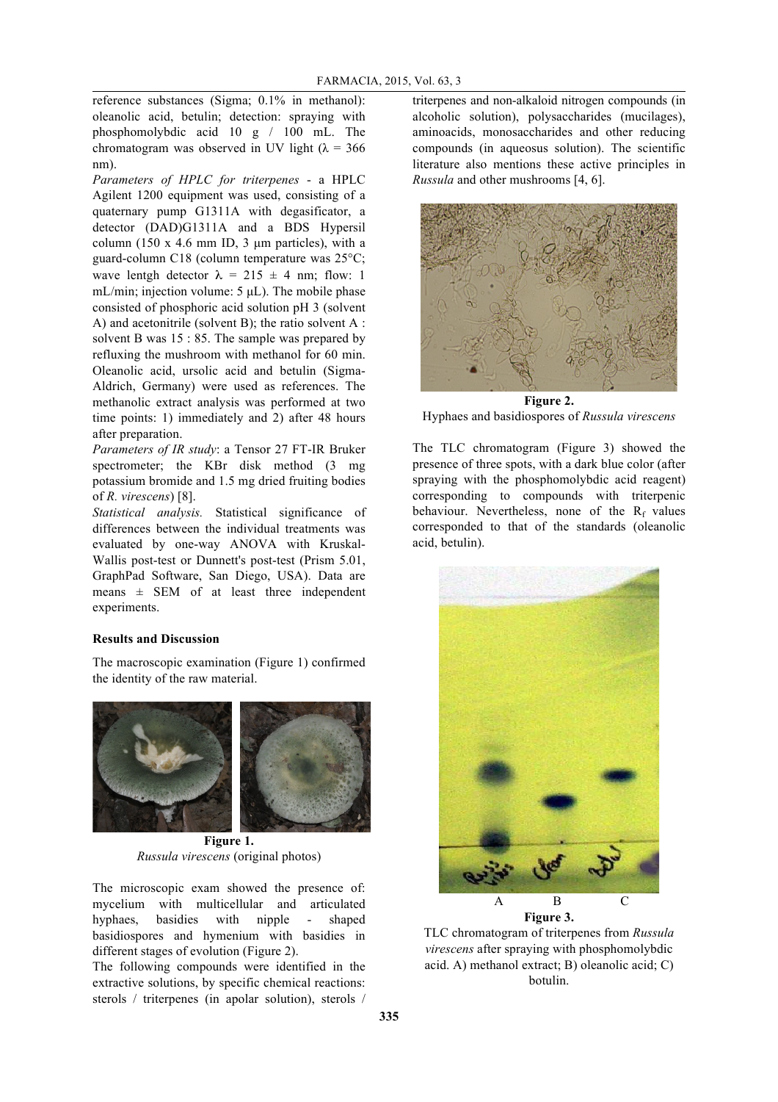reference substances (Sigma; 0.1% in methanol): oleanolic acid, betulin; detection: spraying with phosphomolybdic acid 10 g / 100 mL. The chromatogram was observed in UV light ( $\lambda = 366$ ) nm).

*Parameters of HPLC for triterpenes* - a HPLC Agilent 1200 equipment was used, consisting of a quaternary pump G1311A with degasificator, a detector (DAD)G1311A and a BDS Hypersil column (150 x 4.6 mm ID, 3  $\mu$ m particles), with a guard-column C18 (column temperature was 25°C; wave lentgh detector  $\lambda = 215 \pm 4$  nm; flow: 1 mL/min; injection volume: 5  $\mu$ L). The mobile phase consisted of phosphoric acid solution pH 3 (solvent A) and acetonitrile (solvent B); the ratio solvent A : solvent B was 15 : 85. The sample was prepared by refluxing the mushroom with methanol for 60 min. Oleanolic acid, ursolic acid and betulin (Sigma-Aldrich, Germany) were used as references. The methanolic extract analysis was performed at two time points: 1) immediately and 2) after 48 hours after preparation.

*Parameters of IR study*: a Tensor 27 FT-IR Bruker spectrometer; the KBr disk method  $(3 \text{ mg})$ potassium bromide and 1.5 mg dried fruiting bodies of *R. virescens*) [8].

*Statistical analysis.* Statistical significance of differences between the individual treatments was evaluated by one-way ANOVA with Kruskal-Wallis post-test or Dunnett's post-test (Prism 5.01, GraphPad Software, San Diego, USA). Data are means  $\pm$  SEM of at least three independent experiments.

## **Results and Discussion**

The macroscopic examination (Figure 1) confirmed the identity of the raw material.



**Figure 1.** *Russula virescens* (original photos)

The microscopic exam showed the presence of: mycelium with multicellular and articulated hyphaes, basidies with nipple - shaped basidiospores and hymenium with basidies in different stages of evolution (Figure 2).

The following compounds were identified in the extractive solutions, by specific chemical reactions: sterols / triterpenes (in apolar solution), sterols /

triterpenes and non-alkaloid nitrogen compounds (in alcoholic solution), polysaccharides (mucilages), aminoacids, monosaccharides and other reducing compounds (in aqueosus solution). The scientific literature also mentions these active principles in *Russula* and other mushrooms [4, 6].



**Figure 2.** Hyphaes and basidiospores of *Russula virescens*

The TLC chromatogram (Figure 3) showed the presence of three spots, with a dark blue color (after spraying with the phosphomolybdic acid reagent) corresponding to compounds with triterpenic behaviour. Nevertheless, none of the  $R_f$  values corresponded to that of the standards (oleanolic acid, betulin).



TLC chromatogram of triterpenes from *Russula virescens* after spraying with phosphomolybdic acid. A) methanol extract; B) oleanolic acid; C) botulin.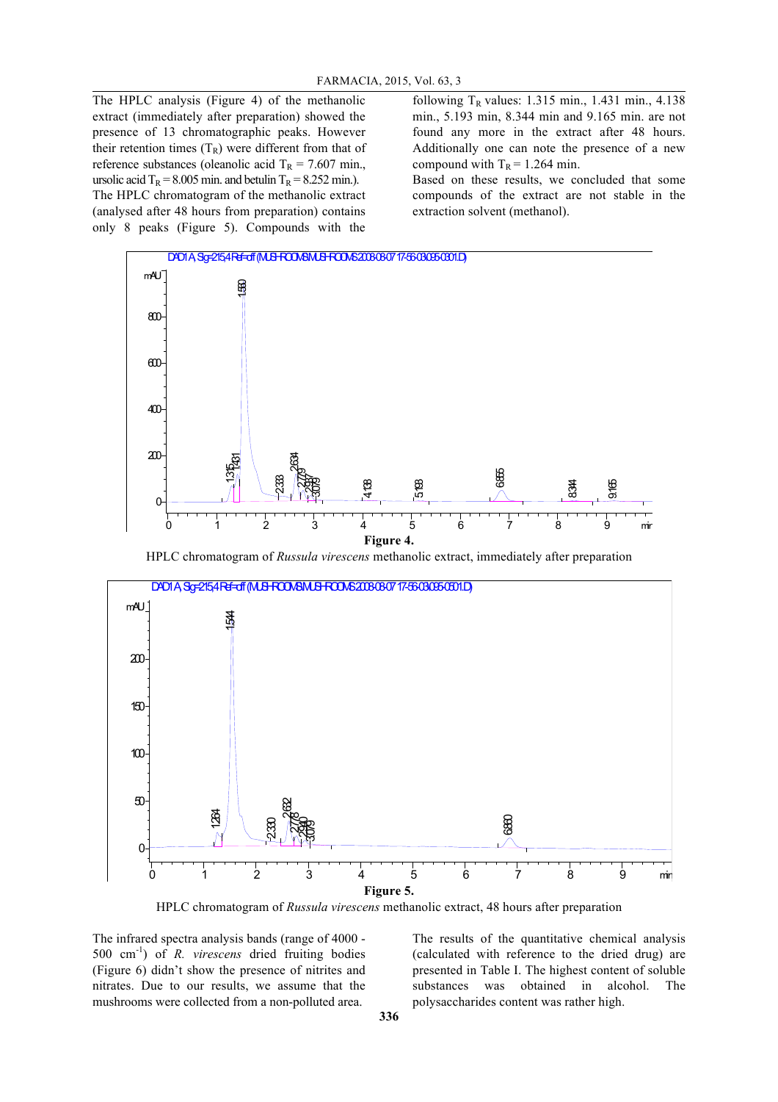The HPLC analysis (Figure 4) of the methanolic extract (immediately after preparation) showed the presence of 13 chromatographic peaks. However their retention times  $(T_R)$  were different from that of reference substances (oleanolic acid  $T_R = 7.607$  min., ursolic acid  $T_R = 8.005$  min. and betulin  $T_R = 8.252$  min.). The HPLC chromatogram of the methanolic extract (analysed after 48 hours from preparation) contains only 8 peaks (Figure 5). Compounds with the

following  $T_R$  values: 1.315 min., 1.431 min., 4.138 min., 5.193 min, 8.344 min and 9.165 min. are not found any more in the extract after 48 hours. Additionally one can note the presence of a new compound with  $T_R = 1.264$  min.

Based on these results, we concluded that some compounds of the extract are not stable in the extraction solvent (methanol).



HPLC chromatogram of *Russula virescens* methanolic extract, immediately after preparation



**Figure 5.**

HPLC chromatogram of *Russula virescens* methanolic extract, 48 hours after preparation

The infrared spectra analysis bands (range of 4000 - 500 cm-1 ) of *R. virescens* dried fruiting bodies (Figure 6) didn't show the presence of nitrites and nitrates. Due to our results, we assume that the mushrooms were collected from a non-polluted area.

The results of the quantitative chemical analysis (calculated with reference to the dried drug) are presented in Table I. The highest content of soluble substances was obtained in alcohol. The polysaccharides content was rather high.